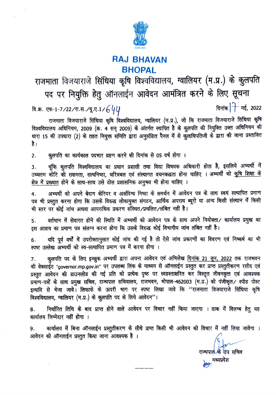

#### **RAJ BHAVAN BHOPAL**

### राजमाता विजयाराजे सिंधिया कृषि विश्वविद्यालय, ग्वालियर (म.प्र.) के कुलपति पद पर नियुक्ति हेतु ऑनलाईन आवेदन आमंत्रित करने के लिए सूचना दिनांक |<sup>1</sup> मई, 2022 वि.क्र. एफ-1-7/22/रा.स./यू.ए.1/ $\epsilon$ ५/

राजमाता विजयाराजे सिंधिया कृषि विश्वविद्यालय, ग्वालियर (म.प्र.), जो कि राजमाता विजयाराजे सिंधिया कृषि विश्वविद्यालय अधिनियम, 2009 (क्र. 4 सन् 2009) के अंतर्गत स्थापित है के कुलपति की नियुक्ति उक्त अधिनियम की धारा 15 की उपधारा (2) के तहत नियुक्त समिति द्वारा अनुसंशित पैनल में से कुलाधिपतिजी के द्वारा की जाना प्रस्तावित है ।

कुलपति का कार्यकाल पदभार ग्रहण करने की दिनांक से 05 वर्ष होगा ।  $2.$ 

चूंकि कुलपति विश्वविद्यालय का प्रधान प्रशासी तथा विद्या विषयक अधिकारी होता है, इसलिये अभ्यर्थी में 3. उच्चतम कोटि की सक्षमता, सत्यनिष्ठा, चरित्रबल एवं संस्थागत वचनबद्धता होना चाहिए । अभ्यर्थी को <u>कृषि शिक्षा के</u> क्षेत्र में प्रख्यात होने के साथ-साथ उसे ठोस प्रशासनिक अनुभव भी होना चाहिए ।

अभ्यर्थी को अपने बेदाग केरियर व असंदिग्ध निष्ठा के समर्थन में आवेदन पत्र के साथ स्वयं सत्यापित प्रमाण 4. पत्र भी प्रस्तुत करना होगा कि उसके विरुद्ध लोकायुक्त संगठन, आर्थिक अपराध ब्यूरो या अन्य किसी संस्थान में किसी भी स्तर पर कोई जांच अथवा आपराधिक प्रकरण संस्थित/प्रचलित/लंबित नहीं है।

वर्तमान में सेवारत होने की स्थिति में अभ्यर्थी को आवेदन पत्र के साथ अपने नियोक्ता/ कार्यालय प्रमुख का 5. इस आशय का प्रमाण पत्र संलग्न करना होगा कि उसके विरुद्ध कोई विभागीय जांच लंबित नहीं है।

यदि पूर्व वर्षों में उपरोक्तानुसार कोई जांच की गई है तो ऐसे जांच प्रकरणों का विवरण एवं निष्कर्ष का भी 6. स्पष्ट उल्लेख अभ्यर्थी को स्व-सत्यापित प्रमाण पत्र में करना होगा ।

कुलपति पद के लिए इच्छुक अभ्यर्थी द्वारा अपना आवेदन एवं अभिलेख <u>दिनांक 21 जून, 2022</u> तक राजभवन 7. की वेबसाईंट "governor.mp.gov.in" पर उपलब्ध लिंक के माध्यम से ऑनलाईन प्रस्तुत कर प्राप्त प्रस्तुतीकरण रसीद एवं प्रस्तुत आवेदन की डाउनलोड की गई प्रति को प्रत्येक पृष्ठ पर स्वहस्ताक्षरित कर विस्तृत जीवनवृत्त एवं आवश्यक प्रमाण-पत्रों के साथ प्रमुख सचिव, राज्यपाल सचिवालय, राजभवन, भोपाल-462003 (म.प्र.) को पंजीकृत / स्पीड पोस्ट इत्यादि से भेजा जावे। लिफाफे के ऊपरी भाग पर स्पष्ट लिखा जावे कि ''राजमाता विजयाराजे सिंधिया कृषि विश्वविद्यालय, ग्वालियर (म.प्र.) के कुलपति पद के लिये आवेदन"।

निर्धारित तिथि के बाद प्राप्त होने वाले आवेदन पर विचार नहीं किया जाएगा । डाक में विलम्ब हेतु यह 8. कार्यालय जिम्मेदार नहीं होगा ।

कार्यालय में बिना ऑनलाईन प्रस्तुतीकरण के सीधे प्राप्त किसी भी आवेदन को विचार में नहीं लिया जावेगा । 9. आवेदन को ऑनलाईन प्रस्तुत किया जाना आवश्यक है।

> राज्यपाल<sup>्</sup>कि <mark>उ</mark>प सचिव dio मध्यप्रदेश